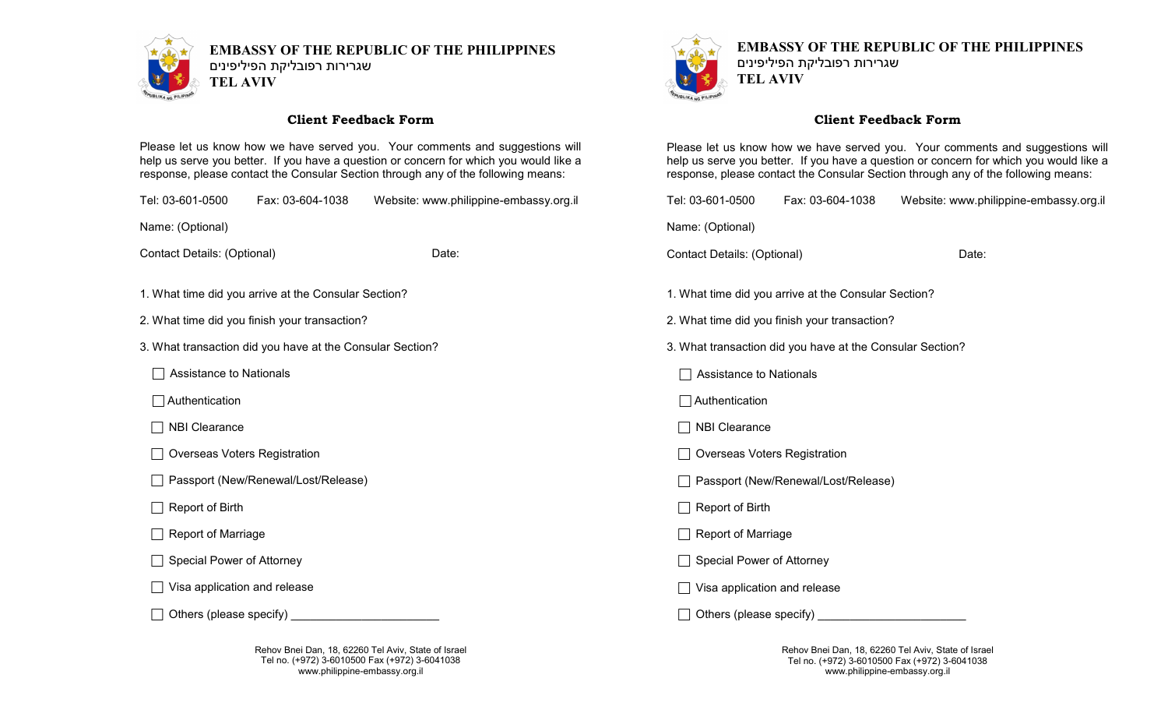

**EMBASSY OF THE REPUBLIC OF THE PHILIPPINES** שגרירות רפובליקת הפיליפינים **TEL AVIV**

## **Client Feedback Form**

Please let us know how we have served you. Your comments and suggestions will help us serve you better. If you have a question or concern for which you would like a response, please contact the Consular Section through any of the following means:

Tel: 03-601-0500 Fax: 03-604-1038 Website: www.philippine-embassy.org.il

Name: (Optional)

Contact Details: (Optional) Date:

- 1. What time did you arrive at the Consular Section?
- 2. What time did you finish your transaction?
- 3. What transaction did you have at the Consular Section?
	- Assistance to Nationals
	- Authentication
	- $\Box$  NBI Clearance
	- □ Overseas Voters Registration
	- □ Passport (New/Renewal/Lost/Release)
	- Report of Birth
	- $\Box$  Report of Marriage
	- $\Box$  Special Power of Attorney
	- $\Box$  Visa application and release
	- $\Box$  Others (please specify)  $\Box$